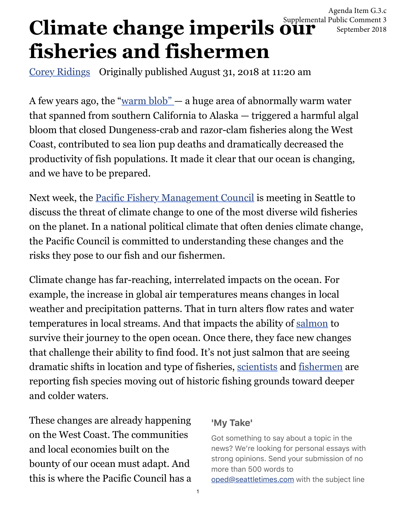Agenda Item G.3.c Supplemental Public Comment 3 September 2018

## **Climate change imperils our fisheries and fishermen**

[Corey Ridings](https://www.seattletimes.com/author/corey-ridings/) Originally published August 31, 2018 at 11:20 am

A few years ago, the "[warm blob" —](https://www.nwfsc.noaa.gov/news/blogs/display_blogentry.cfm?blogid=1&blog_entry_id=34) a huge area of abnormally warm water that spanned from southern California to Alaska — triggered a harmful algal bloom that closed Dungeness-crab and razor-clam fisheries along the West Coast, contributed to sea lion pup deaths and dramatically decreased the productivity of fish populations. It made it clear that our ocean is changing, and we have to be prepared.

Next week, the [Pacific Fishery Management Council](https://www.pcouncil.org/) is meeting in Seattle to discuss the threat of climate change to one of the most diverse wild fisheries on the planet. In a national political climate that often denies climate change, the Pacific Council is committed to understanding these changes and the risks they pose to our fish and our fishermen.

Climate change has far-reaching, interrelated impacts on the ocean. For example, the increase in global air temperatures means changes in local weather and precipitation patterns. That in turn alters flow rates and water temperatures in local streams. And that impacts the ability of [salmon](https://www.nwfsc.noaa.gov/assets/4/9042_02102017_105951_Crozier.2016-BIOP-Lit-Rev-Salmon-Climate-Effects-2015.pdf) to survive their journey to the open ocean. Once there, they face new changes that challenge their ability to find food. It's not just salmon that are seeing dramatic shifts in location and type of fisheries, [scientists](http://journals.plos.org/plosone/article/file?id=10.1371/journal.pone.0196127&type=printable) and [fishermen](https://www.sportfishingmag.com/pacific-ocean-warming-fishing-southern-california) are reporting fish species moving out of historic fishing grounds toward deeper and colder waters.

These changes are already happening on the West Coast. The communities and local economies built on the bounty of our ocean must adapt. And this is where the Pacific Council has a

## **'My Take'**

Got something to say about a topic in the news? We're looking for personal essays with strong opinions. Send your submission of no more than 500 words to [oped@seattletimes.com](mailto:oped@seattletimes.com) with the subject line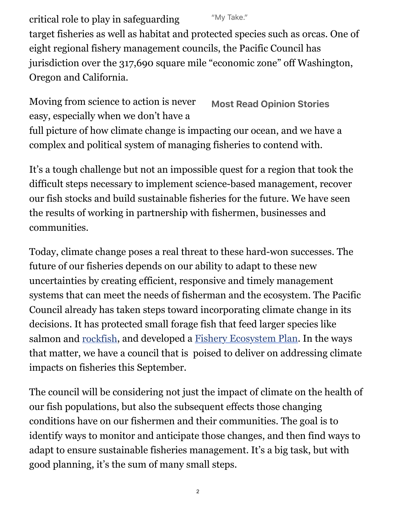"My Take." critical role to play in safeguarding target fisheries as well as habitat and protected species such as orcas. One of eight regional fishery management councils, the Pacific Council has jurisdiction over the 317,690 square mile "economic zone" off Washington, Oregon and California.

**Most Read Opinion Stories** Moving from science to action is never easy, especially when we don't have a full picture of how climate change is impacting our ocean, and we have a complex and political system of managing fisheries to contend with.

It's a tough challenge but not an impossible quest for a region that took the difficult steps necessary to implement science-based management, recover our fish stocks and build sustainable fisheries for the future. We have seen the results of working in partnership with fishermen, businesses and communities.

Today, climate change poses a real threat to these hard-won successes. The future of our fisheries depends on our ability to adapt to these new uncertainties by creating efficient, responsive and timely management systems that can meet the needs of fisherman and the ecosystem. The Pacific Council already has taken steps toward incorporating climate change in its decisions. It has protected small forage fish that feed larger species like salmon and [rockfish](https://www.seattletimes.com/seattle-news/conservationists-west-coast-bottom-fishermen-embrace-grand-bargain/), and developed a [Fishery Ecosystem Plan.](https://www.pcouncil.org/ecosystem-based-management/fep/) In the ways that matter, we have a council that is poised to deliver on addressing climate impacts on fisheries this September.

The council will be considering not just the impact of climate on the health of our fish populations, but also the subsequent effects those changing conditions have on our fishermen and their communities. The goal is to identify ways to monitor and anticipate those changes, and then find ways to adapt to ensure sustainable fisheries management. It's a big task, but with good planning, it's the sum of many small steps.